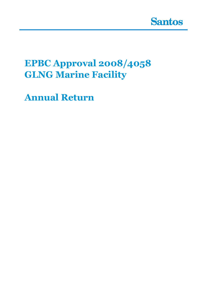

# **EPBC Approval 2008/4058 GLNG Marine Facility**

**Annual Return**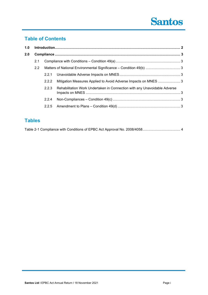# **Santos**

# **Table of Contents**

| 1.0 |     |       |                                                                           |  |
|-----|-----|-------|---------------------------------------------------------------------------|--|
| 2.0 |     |       |                                                                           |  |
| 2.1 |     |       |                                                                           |  |
|     | 2.2 |       |                                                                           |  |
|     |     | 2.2.1 |                                                                           |  |
|     |     | 2.2.2 | Mitigation Measures Applied to Avoid Adverse Impacts on MNES  3           |  |
|     |     | 2.2.3 | Rehabilitation Work Undertaken in Connection with any Unavoidable Adverse |  |
|     |     | 2.2.4 |                                                                           |  |
|     |     | 2.2.5 |                                                                           |  |
|     |     |       |                                                                           |  |

# **Tables**

|--|--|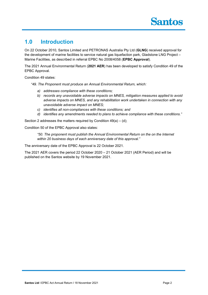# **1.0 Introduction**

On 22 October 2010, Santos Limited and PETRONAS Australia Pty Ltd (**GLNG**) received approval for the development of marine facilities to service natural gas liquefaction park, Gladstone LNG Project – Marine Facilities, as described in referral EPBC No 2008/4058 (**EPBC Approval**).

The 2021 Annual Environmental Return (**2021 AER**) has been developed to satisfy Condition 49 of the EPBC Approval.

Condition 49 states:

*"49. The Proponent must produce an Annual Environmental Return, which:*

- *a) addresses compliance with these conditions;*
- *b) records any unavoidable adverse impacts on MNES, mitigation measures applied to avoid adverse impacts on MNES, and any rehabilitation work undertaken in connection with any unavoidable adverse impact on MNES;*
- *c) identifies all non-compliances with these conditions; and*
- *d) identifies any amendments needed to plans to achieve compliance with these conditions."*

Section 2 addresses the matters required by Condition  $49(a) - (d)$ ;

Condition 50 of the EPBC Approval also states:

*"50. The proponent must publish the Annual Environmental Return on the on the Internet within 20 business days of each anniversary date of this approval."*

The anniversary date of the EPBC Approval is 22 October 2021.

The 2021 AER covers the period 22 October 2020 – 21 October 2021 (AER Period) and will be published on the Santos website by 19 November 2021.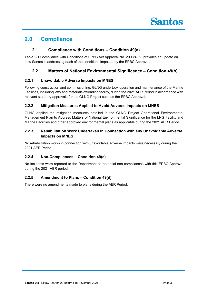# **2.0 Compliance**

### **2.1 Compliance with Conditions – Condition 49(a)**

Table 2-1 Compliance with Conditions of EPBC Act Approval No. 2008/4058 provides an update on how Santos is addressing each of the conditions imposed by the EPBC Approval.

## **2.2 Matters of National Environmental Significance – Condition 49(b)**

### **2.2.1 Unavoidable Adverse Impacts on MNES**

Following construction and commissioning, GLNG undertook operation and maintenance of the Marine Facilities, including jetty and materials offloading facility, during the 2021 AER Period in accordance with relevant statutory approvals for the GLNG Project such as the EPBC Approval.

### **2.2.2 Mitigation Measures Applied to Avoid Adverse Impacts on MNES**

GLNG applied the mitigation measures detailed in the GLNG Project Operational Environmental Management Plan to Address Matters of National Environmental Significance for the LNG Facility and Marine Facilities and other approved environmental plans as applicable during the 2021 AER Period.

### **2.2.3 Rehabilitation Work Undertaken in Connection with any Unavoidable Adverse Impacts on MNES**

No rehabilitation works in connection with unavoidable adverse impacts were necessary during the 2021 AER Period.

### **2.2.4 Non-Compliances – Condition 49(c)**

No incidents were reported to the Department as potential non-compliances with this EPBC Approval during the 2021 AER period.

### **2.2.5 Amendment to Plans – Condition 49(d)**

There were no amendments made to plans during the AER Period.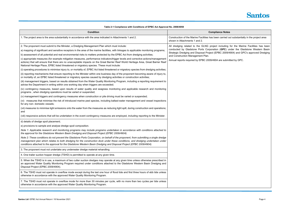| Table 2-1 Compliance with Conditions of EPBC Act Approval No. 2008/4058                                                                                                                                                                                                                                                                                                                       |                                                                                                         |  |
|-----------------------------------------------------------------------------------------------------------------------------------------------------------------------------------------------------------------------------------------------------------------------------------------------------------------------------------------------------------------------------------------------|---------------------------------------------------------------------------------------------------------|--|
| <b>Condition</b>                                                                                                                                                                                                                                                                                                                                                                              | <b>Compliance Notes</b>                                                                                 |  |
| 1. The project area is the area substantially in accordance with the area indicated in Attachments 1 and 2.                                                                                                                                                                                                                                                                                   | Construction of the Marine Facilities has been carried or<br>shown in Attachments 1 and 2.              |  |
| 2. The proponent must submit to the Minister, a Dredging Management Plan which must include:<br>a) mapping of significant and sensitive receptors in the area of the marine facilities, with linkages to applicable monitoring programs;                                                                                                                                                      | All dredging related to the GLNG project including<br>conducted by Gladstone Ports Corporation (GPC) ur |  |
| b) assessment of all potential and real environmental risks to matters protected by the EPBC Act from dredging activities;                                                                                                                                                                                                                                                                    | Strategic Dredging and Disposal Project (EPBC 2009/4<br>and Construction Management Plan.               |  |
| c) appropriate measures (for example mitigation measures, performance indicators/trigger levels and corrective actions/management<br>actions) that will ensure that there are no unacceptable impacts on the Great Barrier Reef World Heritage Area, Great Barrier Reef<br>National Heritage Place, EPBC listed threatened or migratory species. These must include:                          | Annual reports required by EPBC 2009/4904 are submit                                                    |  |
| (i) operating procedures to minimise injury to, or mortality of, EPBC Act listed threatened or migratory species from dredging activities;                                                                                                                                                                                                                                                    |                                                                                                         |  |
| (ii) reporting mechanisms that ensure reporting to the Minister within one business day of the proponent becoming aware of injury to,<br>or mortality of, an EPBC listed threatened or migratory species caused by dredging activities or construction activities;                                                                                                                            |                                                                                                         |  |
| (iii) management triggers, based on results obtained from the Water Quality Monitoring Program, including a reporting requirement to<br>advise the Department in writing within one working day when triggers are exceeded;                                                                                                                                                                   |                                                                                                         |  |
| (iv) contingency measures, based upon results of water quality and seagrass monitoring and applicable research and monitoring<br>programs, when dredging operations must be varied or suspended;                                                                                                                                                                                              |                                                                                                         |  |
| (v) management triggers and contingency measures when construction or pile driving must be varied or suspended;                                                                                                                                                                                                                                                                               |                                                                                                         |  |
| (vi) measures that minimise the risk of introduced marine pest species, including ballast-water management and vessel inspections<br>for any non- domestic vessels;                                                                                                                                                                                                                           |                                                                                                         |  |
| (vii) measures to minimise light emissions onto the water from the measures as reducing light spill, during construction and operations;<br>and                                                                                                                                                                                                                                               |                                                                                                         |  |
| (viii) responsive actions that will be undertaken in the event contingency measures are employed, including reporting to the Minister.                                                                                                                                                                                                                                                        |                                                                                                         |  |
| d) details of dredge spoil placement;                                                                                                                                                                                                                                                                                                                                                         |                                                                                                         |  |
| e) provisions to sample and analyse dredge spoil composition.                                                                                                                                                                                                                                                                                                                                 |                                                                                                         |  |
| Note 1: Applicable research and monitoring programs may include programs undertaken in accordance with conditions attached to<br>the approval for the Gladstone Western Basin Dredging and Disposal Project (EPBC 2009/4904).                                                                                                                                                                 |                                                                                                         |  |
| Note 2: These conditions do not prevent the Gladstone Ports Corporation, on behalf of the proponent, from submitting a single dredge<br>management plan which relates to both dredging for the construction dock under these conditions, and dredging undertaken under<br>conditions attached to the approval for the Gladstone Western Basin Dredging and Disposal Project (EPBC 2009/4904). |                                                                                                         |  |
| 3. The proponent must not undertake any underwater dredge material rehandling.                                                                                                                                                                                                                                                                                                                |                                                                                                         |  |
| 4. One trailer suction hopper dredge (TSHD) is permitted to operate at any given time.                                                                                                                                                                                                                                                                                                        |                                                                                                         |  |
| 5. When the TSHD is in use, a maximum of two cutter suction dredges may operate at any given time unless otherwise prescribed in<br>an approved Water Quality Monitoring Program required under conditions attached to the Gladstone Western Basin Dredging and<br>Disposal Project (EPBC 2009/4904).                                                                                         |                                                                                                         |  |
| 6. The TSHD must not operate in overflow mode except during the last one hour of flood tide and first three hours of ebb tide unless<br>otherwise in accordance with the approved Water Quality Monitoring Program.                                                                                                                                                                           |                                                                                                         |  |
| 7. The TSHD must not operate in overflow mode for more than 30 minutes per cycle, with no more than two cycles per tide unless<br>otherwise in accordance with the approved Water Quality Monitoring Program.                                                                                                                                                                                 |                                                                                                         |  |



arried out substantially in the project area indicated indicated in Attachments 1 and 2. Construction of the M

luding for the Marine Facilities has been **GPC**) under the Gladstone Western Basin 2009/4904) and GPC's approved Dredging

 $\epsilon$  submitted by GPC.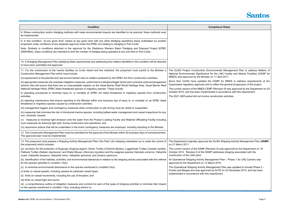| <b>Condition</b>                                                                                                                                                                                                                                                                                                                                                                                                                                                                                            | <b>Compliance Notes</b>                                                                                                                                                                                                                                          |
|-------------------------------------------------------------------------------------------------------------------------------------------------------------------------------------------------------------------------------------------------------------------------------------------------------------------------------------------------------------------------------------------------------------------------------------------------------------------------------------------------------------|------------------------------------------------------------------------------------------------------------------------------------------------------------------------------------------------------------------------------------------------------------------|
| 8. Where construction and/or dredging methods with lower environmental impacts are identified to be practical, these methods must<br>be implemented.                                                                                                                                                                                                                                                                                                                                                        |                                                                                                                                                                                                                                                                  |
| 9. In this condition, "at any given time" means at any given time with any other dredging operations being undertaken by another<br>proponent under conditions of any separate approval under the EPBC Act relating to dredging in Port Curtis.                                                                                                                                                                                                                                                             |                                                                                                                                                                                                                                                                  |
| Note: Similarly to conditions attached to the approval for the Gladstone Western Basin Dredging and Disposal Project (EPBC<br>2009/4904), these conditions are intended to limit the number of dredges being operated at any one time in Port Curtis.                                                                                                                                                                                                                                                       |                                                                                                                                                                                                                                                                  |
| 10. A Dredging Management Plan satisfying State requirements and addressing the matters identified in this condition will be deemed<br>to have been submitted and approved.                                                                                                                                                                                                                                                                                                                                 |                                                                                                                                                                                                                                                                  |
| 11. For the construction of the marine facilities on Curtis Island and the mainland, the proponent must submit to the Minister a<br>Construction Management Plan which must include:                                                                                                                                                                                                                                                                                                                        | The GLNG Project Construction Environmental Management Plan to address Matters of<br>National Environmental Significance for the LNG Facility and Marine Facilities (CEMP for<br>MNES) was approved by the Minister on 11 April 2011.                            |
| (a) assessment of all potential and real environmental risks to matters protected by the EPBC Act from construction activities;<br>(b) appropriate measures (for example mitigation measures, performance indicators/trigger levels and corrective actions/management<br>actions) that will ensure that there are no unacceptable impacts on the Great Barrier Reef World Heritage Area, Great Barrier Reef<br>National Heritage Place, EPBC listed threatened species or migratory species. These include: | Since then GLNG have updated the CEMP for MNES to address requirements of the<br>Queensland regulatory agencies and to reflect the general progression of the project.<br>The current version of the MNES CEMP (Revision 9) was approved by the Department on 25 |
| (i) operating procedures to minimise injury to, or mortality of, EPBC Act listed threatened or migratory species from construction<br>activities;                                                                                                                                                                                                                                                                                                                                                           | October 2015, and has been implemented in accordance with this requirement.<br>The 2021 AER period did not involve construction activities.                                                                                                                      |
| (ii) reporting mechanisms that ensure reporting to the Minister within one business day of injury to, or mortality of, an EPBC listed<br>threatened or migratory species caused by construction activities;                                                                                                                                                                                                                                                                                                 |                                                                                                                                                                                                                                                                  |
| (iii) management triggers and contingency measures when construction or pile driving must be varied or suspended;                                                                                                                                                                                                                                                                                                                                                                                           |                                                                                                                                                                                                                                                                  |
| (iv) measures that minimise the risk of introduced marine species, including ballast-water management and vessel inspections for any<br>non- domestic vessels;                                                                                                                                                                                                                                                                                                                                              |                                                                                                                                                                                                                                                                  |
| (v) measures to minimise light emission onto the water from the Product Loading Facility and Material Offloading Facility including<br>such measures as reducing light spill, during construction and operations; and                                                                                                                                                                                                                                                                                       |                                                                                                                                                                                                                                                                  |
| (vi) responsive actions that will be undertaken in the event contingency measures are employed, including reporting to the Minister.                                                                                                                                                                                                                                                                                                                                                                        |                                                                                                                                                                                                                                                                  |
| 12. The Construction Management Plan must be submitted for the approval of the Minister within 20 business days of commencement<br>The approved plan must be implemented.                                                                                                                                                                                                                                                                                                                                   |                                                                                                                                                                                                                                                                  |
| 13. The proponent must prepare a Shipping Activity Management Plan ('the Plan') (for shipping undertaken by or under the control of<br>the proponent) which includes:                                                                                                                                                                                                                                                                                                                                       | The Department originally approved the GLNG Shipping Activity Management Plan (SAMP)<br>on 21 March 2011.                                                                                                                                                        |
| (a) provision for the protection of Dugongs (Dugong dugon); Green Turtles (Chelonia Mydas); Loggerhead Turtles (Caretta caretta);<br>Flatback Turtles (Natator depressus); and Water Mouse, (Xeromys myoides) and the seagrass species Halodule uninervis, Halophila<br>ovalis, Halophila decipens, Halophila minor, Halophila spinulosa, and Zostera capricorni;                                                                                                                                           | The current version of the SAMP (Revision 8) was approved by the Department on 16<br>October 2014. Revision 8 of the SAMP addresses shipping associated with the<br>construction of the LNG plant.                                                               |
| (b) identification of the habitats, activities, and environmental tolerances in relation to the shipping activity associated with this referral<br>for the species specified in condition 13(a);                                                                                                                                                                                                                                                                                                            | An Operational Shipping Activity Management Plan - Phase 1 for LNG Carriers was<br>approved by the Department on 12 March 2015.                                                                                                                                  |
| (c) to minimise environmental disturbance to the species mentioned in condition13(a):                                                                                                                                                                                                                                                                                                                                                                                                                       | The Operational Shipping Activity Management Plan was updated to include Phase 2 -                                                                                                                                                                               |
| (i) limits on vessel speeds, including speeds for particular vessel types;                                                                                                                                                                                                                                                                                                                                                                                                                                  | Ferries and Barges and was approved by DoTE on 22 December 2015, and has been                                                                                                                                                                                    |
| (ii) limits on vessel movements, including the use of thrusters; and                                                                                                                                                                                                                                                                                                                                                                                                                                        | implemented in accordance with this requirement.                                                                                                                                                                                                                 |
| (iii) limits on vessel light and sound.                                                                                                                                                                                                                                                                                                                                                                                                                                                                     |                                                                                                                                                                                                                                                                  |
| (d) a comprehensive outline of mitigation measures and controls for each of the types of shipping activities to minimise their impact<br>on the species mentioned in condition 13(a), including actions to;                                                                                                                                                                                                                                                                                                 |                                                                                                                                                                                                                                                                  |



| <b>Notes</b> |  |
|--------------|--|
|              |  |

| Management Plan to address Matters of     |  |  |
|-------------------------------------------|--|--|
| ;Facility and Marine Facilities (CEMP for |  |  |
| 2011.                                     |  |  |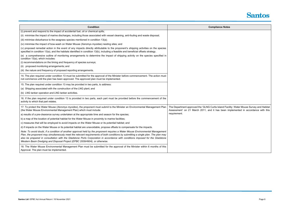| <b>Condition</b>                                                                                                                                                                                                                                                                                                                                                                                                                                                                     | <b>Compliance Notes</b>                                                                                   |
|--------------------------------------------------------------------------------------------------------------------------------------------------------------------------------------------------------------------------------------------------------------------------------------------------------------------------------------------------------------------------------------------------------------------------------------------------------------------------------------|-----------------------------------------------------------------------------------------------------------|
| (i) prevent and respond to the impact of accidental fuel, oil or chemical spills;                                                                                                                                                                                                                                                                                                                                                                                                    |                                                                                                           |
| (ii) minimise the impact of marine discharges, including those associated with vessel cleaning, anti-fouling and waste disposal;                                                                                                                                                                                                                                                                                                                                                     |                                                                                                           |
| (iii) minimise disturbance to the seagrass species mentioned in condition 13(a);                                                                                                                                                                                                                                                                                                                                                                                                     |                                                                                                           |
| (iv) minimise the impact of bow-wash on Water Mouse (Xeromys myoides) nesting sites; and                                                                                                                                                                                                                                                                                                                                                                                             |                                                                                                           |
| (v) proposed remedial action in the event of any impacts directly attributable to the proponent's shipping activities on the species<br>specified in condition 13(a), and the habitats identified in condition 13(b), including a feasible and beneficial offsets strategy.                                                                                                                                                                                                          |                                                                                                           |
| (e) a comprehensive outline of monitoring arrangements to determine the impact of shipping activity on the species specified in<br>condition 13(a), which includes:                                                                                                                                                                                                                                                                                                                  |                                                                                                           |
| (i) recommendations on the timing and frequency of species surveys;                                                                                                                                                                                                                                                                                                                                                                                                                  |                                                                                                           |
| (ii) proposed monitoring arrangements; and                                                                                                                                                                                                                                                                                                                                                                                                                                           |                                                                                                           |
| (iii) the nature and frequency of proposed reporting arrangements.                                                                                                                                                                                                                                                                                                                                                                                                                   |                                                                                                           |
| 14. The plan required under condition 13 must be submitted for the approval of the Minister before commencement. The action must<br>not commence until the plan has been approved. The approved plan must be implemented.                                                                                                                                                                                                                                                            |                                                                                                           |
| 15. The plan required under condition 13 may be provided in two parts, to address:                                                                                                                                                                                                                                                                                                                                                                                                   |                                                                                                           |
| (a) Shipping associated with the construction of the LNG plant; and                                                                                                                                                                                                                                                                                                                                                                                                                  |                                                                                                           |
| (b) LNG tanker operation and LNG tanker activities.                                                                                                                                                                                                                                                                                                                                                                                                                                  |                                                                                                           |
| 16. If the plan required under condition 13 is provided in two parts, each part must be provided before the commencement of the<br>activity to which that part relates.                                                                                                                                                                                                                                                                                                              |                                                                                                           |
| 17. To protect the Water Mouse (Xeromys myoides), the proponent must submit to the Minister an Environmental Management Plan<br>(the Water Mouse Environmental Management Plan) which must include:                                                                                                                                                                                                                                                                                  | The Department approved the 'GLNG Curtis Island Facil<br>Assessment' on 21 March 2011, and it has been im |
| a) results of a pre-clearance survey undertaken at the appropriate time and season for the species;                                                                                                                                                                                                                                                                                                                                                                                  | requirement.                                                                                              |
| b) a map of the location of potential habitat for the Water Mouse in proximity to marine facilities;                                                                                                                                                                                                                                                                                                                                                                                 |                                                                                                           |
| c) measures that will be employed to avoid impacts on the Water Mouse or its potential habitat; and                                                                                                                                                                                                                                                                                                                                                                                  |                                                                                                           |
| d) if impacts on the Water Mouse or its potential habitat are unavoidable, propose offsets to compensate for the impacts.                                                                                                                                                                                                                                                                                                                                                            |                                                                                                           |
| Note: To avoid doubt, if a condition of another approval held by the proponent requires a Water Mouse Environmental Management<br>Plan, the proponent may simultaneously meet the relevant requirements of both conditions by submitting a single plan. The plan may<br>also be prepared in consultation with the Gladstone Ports Corporation in accordance with conditions imposed for the Gladstone<br>Western Basin Dredging and Disposal Project (EPBC 2009/4904), or otherwise. |                                                                                                           |
| 18. The Water Mouse Environmental Management Plan must be submitted for the approval of the Minister within 6 months of this<br>Approval. The plan must be implemented.                                                                                                                                                                                                                                                                                                              |                                                                                                           |



nd Facility: Water Mouse Survey and Habitat  $\overline{\phantom{a}}$  been implemented in accordance with this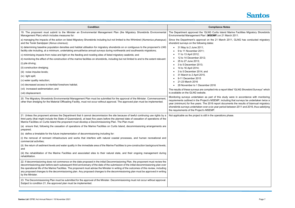| <b>Condition</b>                                                                                                                                                                                                                                                                                                                                                                                                                                                                                                                                                                                                                                                                                                                                                                | <b>Compliance Notes</b>                                                                                                                                                                                                                                                                                                                                                                        |  |
|---------------------------------------------------------------------------------------------------------------------------------------------------------------------------------------------------------------------------------------------------------------------------------------------------------------------------------------------------------------------------------------------------------------------------------------------------------------------------------------------------------------------------------------------------------------------------------------------------------------------------------------------------------------------------------------------------------------------------------------------------------------------------------|------------------------------------------------------------------------------------------------------------------------------------------------------------------------------------------------------------------------------------------------------------------------------------------------------------------------------------------------------------------------------------------------|--|
| 19. The proponent must submit to the Minister an Environmental Management Plan (the Migratory Shorebirds Environmental<br>Management Plan) which includes measures for:                                                                                                                                                                                                                                                                                                                                                                                                                                                                                                                                                                                                         | The Department approved the 'GLNG Curtis Island Ma<br>Environmental Management Plan' (MSEMP) on 21 Mard                                                                                                                                                                                                                                                                                        |  |
| a) managing the impacts of the action on listed Migratory Shorebirds including but not limited to the Whimbrel (Numenius phaeopus)<br>and the Terek Sandpiper (Xenus cinereus);                                                                                                                                                                                                                                                                                                                                                                                                                                                                                                                                                                                                 | Since the Department's approval on the 21 March 201<br>shorebird surveys on the following dates:                                                                                                                                                                                                                                                                                               |  |
| b) determining baseline population densities and habitat utilisation for migratory shorebirds on or contiguous to the proponent's LNG<br>facility site including, at a minimum, undertaking annual/twice annual surveys during northwards and southwards migrations;<br>c) minimising impacts from noise and light on the feeding and roosting sites of listed migratory seabirds; and<br>d) monitoring the effect of the construction of the marine facilities on shorebirds, including but not limited to and to the extent relevant:<br>(i) pile driving;<br>(ii) construction dredging;<br>(iii) noise impulse levels;<br>(iv) light spill;<br>(v) water quality reduction;<br>(vi) decreased access to intertidal foreshore habitat;<br>(vii) increased sedimentation; and | 31 May to 2 June 2011;<br>$\bullet$<br>9 to 11 November 2011;<br>11 to 13 April 2012;<br>12 to 14 December 2012;<br>25 to 27 June 2013;<br>3 to 5 December 2013;<br>14 to 16 April 2014;<br>3 to 5 December 2014; and<br>31 March to 2 April 2015.<br>9-11 December 2015<br>21-23 March 2016<br>29 November to 1 December 2016<br>The results of these surveys are compiled into a report titl |  |
| (viii) displacement.<br>20. The Migratory Shorebirds Environmental Management Plan must be submitted for the approval of the Minister. Commencement,<br>other than dredging for the Material Offloading Facility, must not occur without approval. The approved plan must be implemented.                                                                                                                                                                                                                                                                                                                                                                                                                                                                                       | is available on the GLNG website.<br>Monitoring surveys undertaken as part of this study v<br>requirements outlined in the Project's MSEMP, including<br>year (minimum) for five years. The 2016 report docume<br>shorebirds surveys undertaken over a six year period bet<br>the requirements of the Project's MSEMP.                                                                         |  |
| 21. Unless the proponent advises the Department that it cannot decommission the site because of lawful continuing use rights by a<br>third party (that might include the State of Queensland), at least five years before the planned date of cessation of operations of the<br>Marine Facilities on Curtis Island the proponent must develop a Decommissioning Plan. The Plan must:                                                                                                                                                                                                                                                                                                                                                                                            | Not applicable as the project is still in the operations pha                                                                                                                                                                                                                                                                                                                                   |  |
| (a) ensure that, following the cessation of operations of the Marine Facilities on Curtis Island, decommissioning arrangements are<br>prepared;                                                                                                                                                                                                                                                                                                                                                                                                                                                                                                                                                                                                                                 |                                                                                                                                                                                                                                                                                                                                                                                                |  |
| (b) define a timetable for the future implementation of decommissioning including for:<br>(i) the removal of remnant infrastructure and works that interfere with natural coastal processes, and human recreational and<br>commercial activities;                                                                                                                                                                                                                                                                                                                                                                                                                                                                                                                               |                                                                                                                                                                                                                                                                                                                                                                                                |  |
| (ii) the return of sediment levels and water quality in the immediate area of the Marine Facilities to pre-construction background levels;<br>and                                                                                                                                                                                                                                                                                                                                                                                                                                                                                                                                                                                                                               |                                                                                                                                                                                                                                                                                                                                                                                                |  |
| (iii) the rehabilitation of the Marine Facilities and associated sites to their natural state, and their ongoing management during<br>rehabilitation.                                                                                                                                                                                                                                                                                                                                                                                                                                                                                                                                                                                                                           |                                                                                                                                                                                                                                                                                                                                                                                                |  |
| 22. If decommissioning does not commence on the date proposed in the initial Decommissioning Plan, the proponent must review the<br>decommissioning plan before each subsequent third anniversary of the date of the submission of the initial decommissioning plan over<br>the operational life of the Marine Facilities. The proponent must advise the Minister in writing of the outcomes of this review, including<br>any proposed changes to the decommissioning plan. Any proposed changes to the decommissioning plan must be approved in writing<br>by the Minister.                                                                                                                                                                                                    |                                                                                                                                                                                                                                                                                                                                                                                                |  |
| 23. The Decommissioning Plan must be submitted for the approval of the Minister. Decommissioning must not occur without approval.<br>Subject to condition 21, the approved plan must be implemented.                                                                                                                                                                                                                                                                                                                                                                                                                                                                                                                                                                            |                                                                                                                                                                                                                                                                                                                                                                                                |  |



and Marine Facilities Migratory Shorebirds 1 March 2011.

rch 2011, GLNG has conducted migratory

port titled "GLNG Shorebird Surveys" which

study were in accordance with monitoring rcluding that surveys be undertaken twice a ocuments the results of biannual migratory  $\frac{1}{2}$ riod between 2011 and 2016, thus satisfying

ons phase.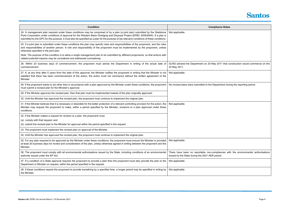| <b>Condition</b>                                                                                                                                                                                                                                                                                                                                                                                                  | <b>Compliance Notes</b>                                                                              |  |
|-------------------------------------------------------------------------------------------------------------------------------------------------------------------------------------------------------------------------------------------------------------------------------------------------------------------------------------------------------------------------------------------------------------------|------------------------------------------------------------------------------------------------------|--|
| 24. A management plan required under these conditions may be comprised of by a plan (a joint plan) submitted by the Gladstone<br>Ports Corporation under conditions of approval for the Western Basin Dredging and Disposal Project (EPBC 2009/4904). If a plan is<br>submitted by the GPC for this purpose, it must also be specified as a plan for the purpose of (as relevant) conditions of these conditions. | Not applicable.                                                                                      |  |
| 25. If a joint plan is submitted under these conditions the plan may specify roles and responsibilities of the proponent, and the roles<br>and responsibilities of another person. A role and responsibility of the proponent must be implemented by the proponent, unless<br>otherwise specified in the joint plan.                                                                                              |                                                                                                      |  |
| Note: The purpose of this condition is to allow a single management plan to be submitted by different proponents, so that actions with<br>related potential impacts may be considered and addressed cumulatively.                                                                                                                                                                                                 |                                                                                                      |  |
| 26. Within 20 business days of commencement, the proponent must advise the Department in writing of the actual date of<br>commencement.                                                                                                                                                                                                                                                                           | GLNG advised the Department on 20 May 2011 that co<br>25 May 2011.                                   |  |
| 27. If, at any time after 5 years from the date of this approval, the Minister notifies the proponent in writing that the Minister is not<br>satisfied that there has been commencement of the action, the action must not commence without the written agreement of the<br>Minister.                                                                                                                             | Not applicable.                                                                                      |  |
| 28. If the proponent wants to act other than in accordance with a plan approved by the Minister under these conditions, the proponent<br>must submit a revised plan for the Minister's approval.                                                                                                                                                                                                                  | No revised plans were submitted to the Department duri                                               |  |
| 29. If the Minister approves the revised plan, then that plan must be implemented instead of the plan originally approved.                                                                                                                                                                                                                                                                                        |                                                                                                      |  |
| 30. Until the Minister has approved the revised plan, the proponent must continue to implement the original plan.                                                                                                                                                                                                                                                                                                 |                                                                                                      |  |
| 31. If the Minister believes that it is necessary or desirable for the better protection of a relevant controlling provision for the action, the<br>Minister may request the proponent to make, within a period specified by the Minister, revisions to a plan approved under these<br>conditions.                                                                                                                | Not applicable.                                                                                      |  |
| 32. If the Minister makes a request for revision to a plan, the proponent must:                                                                                                                                                                                                                                                                                                                                   |                                                                                                      |  |
| (a) comply with that request; and                                                                                                                                                                                                                                                                                                                                                                                 |                                                                                                      |  |
| (b) submit the revised plan to the Minister for approval within the period specified in the request.                                                                                                                                                                                                                                                                                                              |                                                                                                      |  |
| 33. The proponent must implement the revised plan on approval of the Minister.                                                                                                                                                                                                                                                                                                                                    |                                                                                                      |  |
| 34. Until the Minister has approved the revised plan, the proponent must continue to implement the original plan.                                                                                                                                                                                                                                                                                                 |                                                                                                      |  |
| 35. For any plan required to be approved by the Minister under these conditions, the proponent must ensure the Minister is provided<br>at least 20 business days for review and consideration of the plan, unless otherwise agreed in writing between the proponent and the<br>Minister.                                                                                                                          | Not applicable.                                                                                      |  |
| 36. The proponent must comply with all environmental authorisations issued by the State, including conditions of an environmental<br>authority issued under the EP Act.                                                                                                                                                                                                                                           | There have been no reportable non-compliances wit<br>issued by the State during the 2021 AER period. |  |
| 37. If a condition of a State approval requires the proponent to provide a plan then the proponent must also provide the plan to the<br>Department or Minister on request, within the period specified in the request.                                                                                                                                                                                            | Not applicable.                                                                                      |  |
| 38. If these conditions require the proponent to provide something by a specified time, a longer period may be specified in writing by<br>the Minister.                                                                                                                                                                                                                                                           | Not applicable                                                                                       |  |
|                                                                                                                                                                                                                                                                                                                                                                                                                   |                                                                                                      |  |



I that construction would commence on the

nent during the reporting period.

ces with the environmental authorisations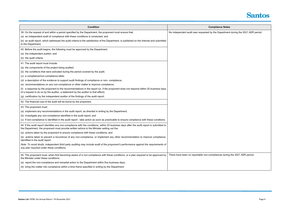| <b>Condition</b>                                                                                                                                                                                                                        | <b>Compliance Notes</b>                              |
|-----------------------------------------------------------------------------------------------------------------------------------------------------------------------------------------------------------------------------------------|------------------------------------------------------|
| 39. On the request of and within a period specified by the Department, the proponent must ensure that:                                                                                                                                  | No independent audit was requested by the Department |
| (a) an independent audit of compliance with these conditions is conducted; and                                                                                                                                                          |                                                      |
| (b) an audit report, which addresses the audit criteria to the satisfaction of the Department, is published on the Internet and submitted<br>to the Department.                                                                         |                                                      |
| 40. Before the audit begins, the following must be approved by the Department:                                                                                                                                                          |                                                      |
| (a) the independent auditor; and                                                                                                                                                                                                        |                                                      |
| (b) the audit criteria.                                                                                                                                                                                                                 |                                                      |
| 41. The audit report must include:                                                                                                                                                                                                      |                                                      |
| (a) the components of the project being audited;                                                                                                                                                                                        |                                                      |
| (b) the conditions that were activated during the period covered by the audit;                                                                                                                                                          |                                                      |
| (c) a compliance/non-compliance table;                                                                                                                                                                                                  |                                                      |
| (d) a description of the evidence to support audit findings of compliance or non- compliance;                                                                                                                                           |                                                      |
| (e) recommendations on any non-compliance or other matter to improve compliance;                                                                                                                                                        |                                                      |
| (f) a response by the proponent to the recommendations in the report (or, if the proponent does not respond within 20 business days<br>of a request to do so by the auditor, a statement by the auditor to that effect);                |                                                      |
| (g) certification by the independent auditor of the findings of the audit report.                                                                                                                                                       |                                                      |
| 42. The financial cost of the audit will be borne by the proponent.                                                                                                                                                                     |                                                      |
| 43. The proponent must:                                                                                                                                                                                                                 |                                                      |
| (a) implement any recommendations in the audit report, as directed in writing by the Department;                                                                                                                                        |                                                      |
| (b) investigate any non-compliance identified in the audit report; and                                                                                                                                                                  |                                                      |
| (c) if non-compliance is identified in the audit report - take action as soon as practicable to ensure compliance with these conditions.                                                                                                |                                                      |
| 44. If the audit report identifies any non-compliance with the conditions, within 20 business days after the audit report is submitted to<br>the Department, the proponent must provide written advice to the Minister setting out the: |                                                      |
| (a) actions taken by the proponent to ensure compliance with these conditions; and                                                                                                                                                      |                                                      |
| (b) actions taken to prevent a recurrence of any non-compliance, or implement any other recommendation to improve compliance,<br>identified in the audit report.                                                                        |                                                      |
| Note: To avoid doubt, independent third party auditing may include audit of the proponent's performance against the requirements of<br>any plan required under these conditions.                                                        |                                                      |
| 45. The proponent must, when first becoming aware of a non-compliance with these conditions, or a plan required to be approved by<br>the Minister under these conditions:                                                               | There have been no reportable non-compliances during |
| (a) report the non-compliance and remedial action to the Department within five business days;                                                                                                                                          |                                                      |
| (b) bring the matter into compliance within a time frame specified in writing by the Department.                                                                                                                                        |                                                      |



artment during the 2021 AER period.

during the 2021 AER period.